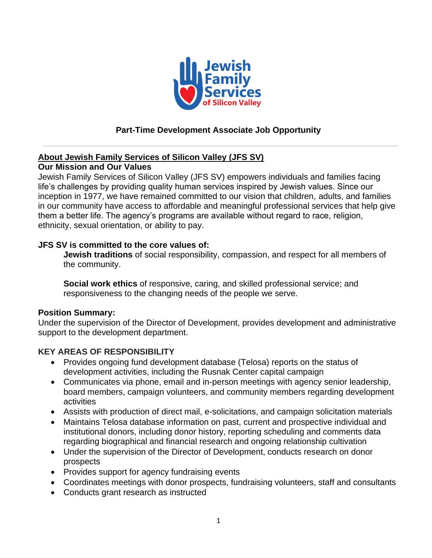

# **Part-Time Development Associate Job Opportunity**

### **About Jewish Family Services of Silicon Valley (JFS SV)**

### **Our Mission and Our Values**

Jewish Family Services of Silicon Valley (JFS SV) empowers individuals and families facing life's challenges by providing quality human services inspired by Jewish values. Since our inception in 1977, we have remained committed to our vision that children, adults, and families in our community have access to affordable and meaningful professional services that help give them a better life. The agency's programs are available without regard to race, religion, ethnicity, sexual orientation, or ability to pay.

#### **JFS SV is committed to the core values of:**

**Jewish traditions** of social responsibility, compassion, and respect for all members of the community.

**Social work ethics** of responsive, caring, and skilled professional service; and responsiveness to the changing needs of the people we serve.

#### **Position Summary:**

Under the supervision of the Director of Development, provides development and administrative support to the development department.

### **KEY AREAS OF RESPONSIBILITY**

- Provides ongoing fund development database (Telosa) reports on the status of development activities, including the Rusnak Center capital campaign
- Communicates via phone, email and in-person meetings with agency senior leadership, board members, campaign volunteers, and community members regarding development activities
- Assists with production of direct mail, e-solicitations, and campaign solicitation materials
- Maintains Telosa database information on past, current and prospective individual and institutional donors, including donor history, reporting scheduling and comments data regarding biographical and financial research and ongoing relationship cultivation
- Under the supervision of the Director of Development, conducts research on donor prospects
- Provides support for agency fundraising events
- Coordinates meetings with donor prospects, fundraising volunteers, staff and consultants
- Conducts grant research as instructed